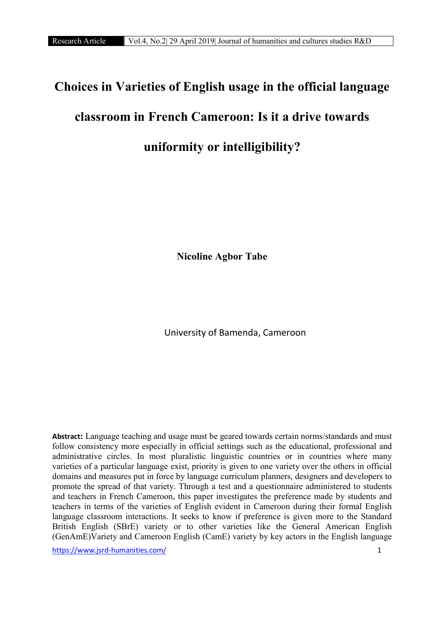# Choices in Varieties of English usage in the official language classroom in French Cameroon: Is it a drive towards uniformity or intelligibility?

Nicoline Agbor Tabe

University of Bamenda, Cameroon

**Abstract**: Language teaching and usage must be geared towards certain norms/standards and must follow consistency more especially in official settings such as the educational, professional and administrative circles. In most pluralistic linguistic countries or in countries where many varieties of a particular language exist, priority is given to one variety over the others in official domains and measures put in force by language curriculum planners, designers and developers to promote the spread of that variety. Through a test and a questionnaire administered to students and teachers in French Cameroon, this paper investigates the preference made by students and teachers in terms of the varieties of English evident in Cameroon during their formal English language classroom interactions. It seeks to know if preference is given more to the Standard British English (SBrE) variety or to other varieties like the General American English (GenAmE)Variety and Cameroon English (CamE) variety by key actors in the English language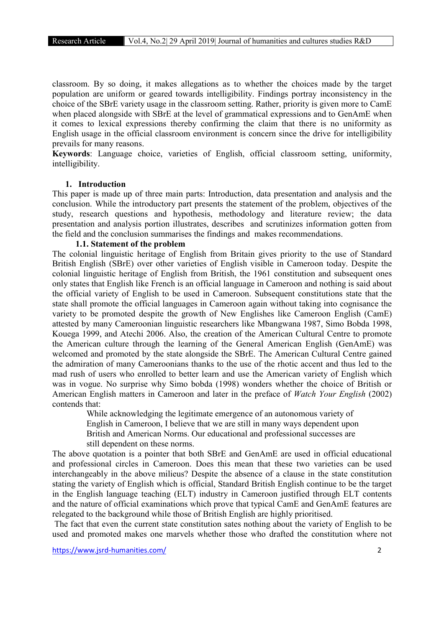classroom. By so doing, it makes allegations as to whether the choices made by the target population are uniform or geared towards intelligibility. Findings portray inconsistency in the choice of the SBrE variety usage in the classroom setting. Rather, priority is given more to CamE when placed alongside with SBrE at the level of grammatical expressions and to GenAmE when it comes to lexical expressions thereby confirming the claim that there is no uniformity as English usage in the official classroom environment is concern since the drive for intelligibility prevails for many reasons.

Keywords: Language choice, varieties of English, official classroom setting, uniformity, intelligibility.

#### 1. Introduction

This paper is made up of three main parts: Introduction, data presentation and analysis and the conclusion. While the introductory part presents the statement of the problem, objectives of the study, research questions and hypothesis, methodology and literature review; the data presentation and analysis portion illustrates, describes and scrutinizes information gotten from the field and the conclusion summarises the findings and makes recommendations.

## 1.1. Statement of the problem

The colonial linguistic heritage of English from Britain gives priority to the use of Standard British English (SBrE) over other varieties of English visible in Cameroon today. Despite the colonial linguistic heritage of English from British, the 1961 constitution and subsequent ones only states that English like French is an official language in Cameroon and nothing is said about the official variety of English to be used in Cameroon. Subsequent constitutions state that the state shall promote the official languages in Cameroon again without taking into cognisance the variety to be promoted despite the growth of New Englishes like Cameroon English (CamE) attested by many Cameroonian linguistic researchers like Mbangwana 1987, Simo Bobda 1998, Kouega 1999, and Atechi 2006. Also, the creation of the American Cultural Centre to promote the American culture through the learning of the General American English (GenAmE) was welcomed and promoted by the state alongside the SBrE. The American Cultural Centre gained the admiration of many Cameroonians thanks to the use of the rhotic accent and thus led to the mad rush of users who enrolled to better learn and use the American variety of English which was in vogue. No surprise why Simo bobda (1998) wonders whether the choice of British or American English matters in Cameroon and later in the preface of *Watch Your English* (2002) contends that:

 While acknowledging the legitimate emergence of an autonomous variety of English in Cameroon, I believe that we are still in many ways dependent upon British and American Norms. Our educational and professional successes are still dependent on these norms.

The above quotation is a pointer that both SBrE and GenAmE are used in official educational and professional circles in Cameroon. Does this mean that these two varieties can be used interchangeably in the above milieus? Despite the absence of a clause in the state constitution stating the variety of English which is official, Standard British English continue to be the target in the English language teaching (ELT) industry in Cameroon justified through ELT contents and the nature of official examinations which prove that typical CamE and GenAmE features are relegated to the background while those of British English are highly prioritised.

The fact that even the current state constitution sates nothing about the variety of English to be used and promoted makes one marvels whether those who drafted the constitution where not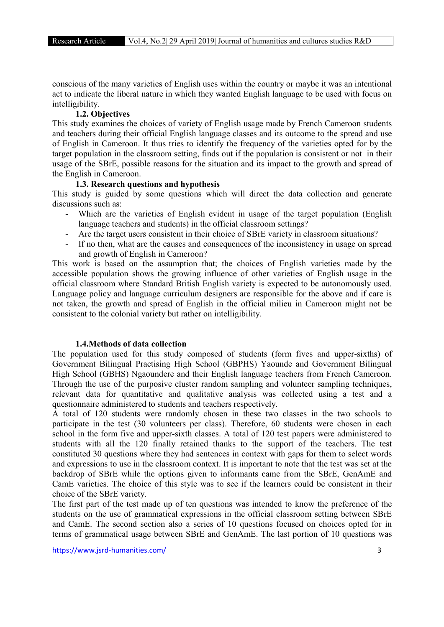conscious of the many varieties of English uses within the country or maybe it was an intentional act to indicate the liberal nature in which they wanted English language to be used with focus on intelligibility.

# 1.2. Objectives

This study examines the choices of variety of English usage made by French Cameroon students and teachers during their official English language classes and its outcome to the spread and use of English in Cameroon. It thus tries to identify the frequency of the varieties opted for by the target population in the classroom setting, finds out if the population is consistent or not in their usage of the SBrE, possible reasons for the situation and its impact to the growth and spread of the English in Cameroon.

## 1.3. Research questions and hypothesis

This study is guided by some questions which will direct the data collection and generate discussions such as:

- Which are the varieties of English evident in usage of the target population (English language teachers and students) in the official classroom settings?
- Are the target users consistent in their choice of SBrE variety in classroom situations?
- If no then, what are the causes and consequences of the inconsistency in usage on spread and growth of English in Cameroon?

This work is based on the assumption that; the choices of English varieties made by the accessible population shows the growing influence of other varieties of English usage in the official classroom where Standard British English variety is expected to be autonomously used. Language policy and language curriculum designers are responsible for the above and if care is not taken, the growth and spread of English in the official milieu in Cameroon might not be consistent to the colonial variety but rather on intelligibility.

# 1.4.Methods of data collection

The population used for this study composed of students (form fives and upper-sixths) of Government Bilingual Practising High School (GBPHS) Yaounde and Government Bilingual High School (GBHS) Ngaoundere and their English language teachers from French Cameroon. Through the use of the purposive cluster random sampling and volunteer sampling techniques, relevant data for quantitative and qualitative analysis was collected using a test and a questionnaire administered to students and teachers respectively.

A total of 120 students were randomly chosen in these two classes in the two schools to participate in the test (30 volunteers per class). Therefore, 60 students were chosen in each school in the form five and upper-sixth classes. A total of 120 test papers were administered to students with all the 120 finally retained thanks to the support of the teachers. The test constituted 30 questions where they had sentences in context with gaps for them to select words and expressions to use in the classroom context. It is important to note that the test was set at the backdrop of SBrE while the options given to informants came from the SBrE, GenAmE and CamE varieties. The choice of this style was to see if the learners could be consistent in their choice of the SBrE variety.

The first part of the test made up of ten questions was intended to know the preference of the students on the use of grammatical expressions in the official classroom setting between SBrE and CamE. The second section also a series of 10 questions focused on choices opted for in terms of grammatical usage between SBrE and GenAmE. The last portion of 10 questions was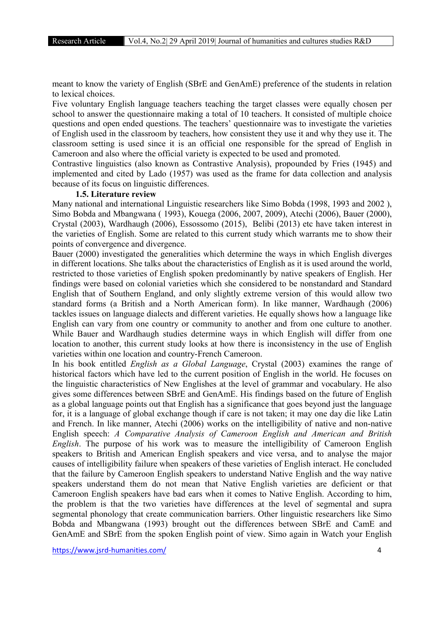meant to know the variety of English (SBrE and GenAmE) preference of the students in relation to lexical choices.

Five voluntary English language teachers teaching the target classes were equally chosen per school to answer the questionnaire making a total of 10 teachers. It consisted of multiple choice questions and open ended questions. The teachers' questionnaire was to investigate the varieties of English used in the classroom by teachers, how consistent they use it and why they use it. The classroom setting is used since it is an official one responsible for the spread of English in Cameroon and also where the official variety is expected to be used and promoted.

Contrastive linguistics (also known as Contrastive Analysis), propounded by Fries (1945) and implemented and cited by Lado (1957) was used as the frame for data collection and analysis because of its focus on linguistic differences.

## 1.5. Literature review

Many national and international Linguistic researchers like Simo Bobda (1998, 1993 and 2002 ), Simo Bobda and Mbangwana ( 1993), Kouega (2006, 2007, 2009), Atechi (2006), Bauer (2000), Crystal (2003), Wardhaugh (2006), Essossomo (2015), Belibi (2013) etc have taken interest in the varieties of English. Some are related to this current study which warrants me to show their points of convergence and divergence.

Bauer (2000) investigated the generalities which determine the ways in which English diverges in different locations. She talks about the characteristics of English as it is used around the world, restricted to those varieties of English spoken predominantly by native speakers of English. Her findings were based on colonial varieties which she considered to be nonstandard and Standard English that of Southern England, and only slightly extreme version of this would allow two standard forms (a British and a North American form). In like manner, Wardhaugh (2006) tackles issues on language dialects and different varieties. He equally shows how a language like English can vary from one country or community to another and from one culture to another. While Bauer and Wardhaugh studies determine ways in which English will differ from one location to another, this current study looks at how there is inconsistency in the use of English varieties within one location and country-French Cameroon.

In his book entitled *English as a Global Language*, Crystal (2003) examines the range of historical factors which have led to the current position of English in the world. He focuses on the linguistic characteristics of New Englishes at the level of grammar and vocabulary. He also gives some differences between SBrE and GenAmE. His findings based on the future of English as a global language points out that English has a significance that goes beyond just the language for, it is a language of global exchange though if care is not taken; it may one day die like Latin and French. In like manner, Atechi (2006) works on the intelligibility of native and non-native English speech: *A Comparative Analysis of Cameroon English and American and British English*. The purpose of his work was to measure the intelligibility of Cameroon English speakers to British and American English speakers and vice versa, and to analyse the major causes of intelligibility failure when speakers of these varieties of English interact. He concluded that the failure by Cameroon English speakers to understand Native English and the way native speakers understand them do not mean that Native English varieties are deficient or that Cameroon English speakers have bad ears when it comes to Native English. According to him, the problem is that the two varieties have differences at the level of segmental and supra segmental phonology that create communication barriers. Other linguistic researchers like Simo Bobda and Mbangwana (1993) brought out the differences between SBrE and CamE and GenAmE and SBrE from the spoken English point of view. Simo again in Watch your English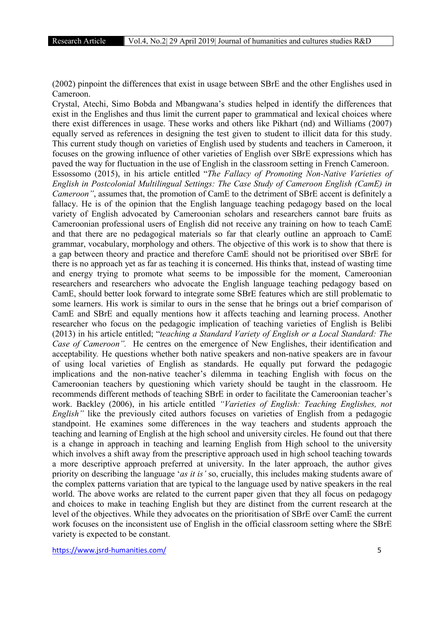(2002) pinpoint the differences that exist in usage between SBrE and the other Englishes used in Cameroon.

Crystal, Atechi, Simo Bobda and Mbangwana's studies helped in identify the differences that exist in the Englishes and thus limit the current paper to grammatical and lexical choices where there exist differences in usage. These works and others like Pikhart (nd) and Williams (2007) equally served as references in designing the test given to student to illicit data for this study. This current study though on varieties of English used by students and teachers in Cameroon, it focuses on the growing influence of other varieties of English over SBrE expressions which has paved the way for fluctuation in the use of English in the classroom setting in French Cameroon. Essossomo (2015), in his article entitled "*The Fallacy of Promoting Non-Native Varieties of English in Postcolonial Multilingual Settings: The Case Study of Cameroon English (CamE) in Cameroon"*, assumes that, the promotion of CamE to the detriment of SBrE accent is definitely a fallacy. He is of the opinion that the English language teaching pedagogy based on the local variety of English advocated by Cameroonian scholars and researchers cannot bare fruits as Cameroonian professional users of English did not receive any training on how to teach CamE and that there are no pedagogical materials so far that clearly outline an approach to CamE grammar, vocabulary, morphology and others. The objective of this work is to show that there is a gap between theory and practice and therefore CamE should not be prioritised over SBrE for there is no approach yet as far as teaching it is concerned. His thinks that, instead of wasting time and energy trying to promote what seems to be impossible for the moment, Cameroonian researchers and researchers who advocate the English language teaching pedagogy based on CamE, should better look forward to integrate some SBrE features which are still problematic to some learners. His work is similar to ours in the sense that he brings out a brief comparison of CamE and SBrE and equally mentions how it affects teaching and learning process. Another researcher who focus on the pedagogic implication of teaching varieties of English is Belibi (2013) in his article entitled; "*teaching a Standard Variety of English or a Local Standard: The Case of Cameroon".* He centres on the emergence of New Englishes, their identification and acceptability*.* He questions whether both native speakers and non-native speakers are in favour of using local varieties of English as standards. He equally put forward the pedagogic implications and the non-native teacher's dilemma in teaching English with focus on the Cameroonian teachers by questioning which variety should be taught in the classroom. He recommends different methods of teaching SBrE in order to facilitate the Cameroonian teacher's work. Backley (2006), in his article entitled *"Varieties of English: Teaching Englishes, not English*" like the previously cited authors focuses on varieties of English from a pedagogic standpoint. He examines some differences in the way teachers and students approach the teaching and learning of English at the high school and university circles. He found out that there is a change in approach in teaching and learning English from High school to the university which involves a shift away from the prescriptive approach used in high school teaching towards a more descriptive approach preferred at university. In the later approach, the author gives priority on describing the language '*as it is'* so, crucially, this includes making students aware of the complex patterns variation that are typical to the language used by native speakers in the real world. The above works are related to the current paper given that they all focus on pedagogy and choices to make in teaching English but they are distinct from the current research at the level of the objectives. While they advocates on the prioritisation of SBrE over CamE the current work focuses on the inconsistent use of English in the official classroom setting where the SBrE variety is expected to be constant.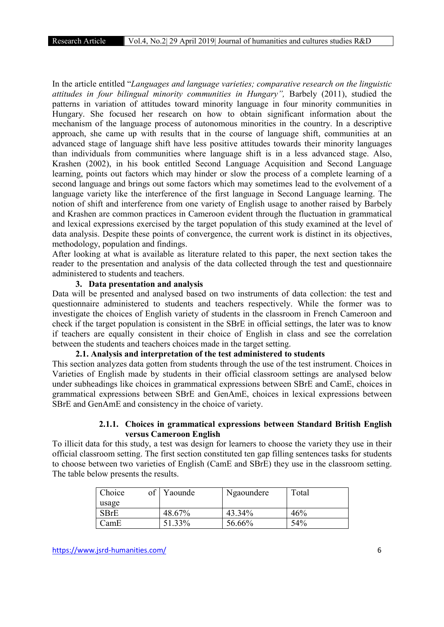In the article entitled "*Languages and language varieties; comparative research on the linguistic attitudes in four bilingual minority communities in Hungary",* Barbely (2011), studied the patterns in variation of attitudes toward minority language in four minority communities in Hungary. She focused her research on how to obtain significant information about the mechanism of the language process of autonomous minorities in the country. In a descriptive approach, she came up with results that in the course of language shift, communities at an advanced stage of language shift have less positive attitudes towards their minority languages than individuals from communities where language shift is in a less advanced stage. Also, Krashen (2002), in his book entitled Second Language Acquisition and Second Language learning, points out factors which may hinder or slow the process of a complete learning of a second language and brings out some factors which may sometimes lead to the evolvement of a language variety like the interference of the first language in Second Language learning. The notion of shift and interference from one variety of English usage to another raised by Barbely and Krashen are common practices in Cameroon evident through the fluctuation in grammatical and lexical expressions exercised by the target population of this study examined at the level of data analysis. Despite these points of convergence, the current work is distinct in its objectives, methodology, population and findings.

After looking at what is available as literature related to this paper, the next section takes the reader to the presentation and analysis of the data collected through the test and questionnaire administered to students and teachers.

# 3. Data presentation and analysis

Data will be presented and analysed based on two instruments of data collection: the test and questionnaire administered to students and teachers respectively. While the former was to investigate the choices of English variety of students in the classroom in French Cameroon and check if the target population is consistent in the SBrE in official settings, the later was to know if teachers are equally consistent in their choice of English in class and see the correlation between the students and teachers choices made in the target setting.

# 2.1. Analysis and interpretation of the test administered to students

This section analyzes data gotten from students through the use of the test instrument. Choices in Varieties of English made by students in their official classroom settings are analysed below under subheadings like choices in grammatical expressions between SBrE and CamE, choices in grammatical expressions between SBrE and GenAmE, choices in lexical expressions between SBrE and GenAmE and consistency in the choice of variety.

# 2.1.1. Choices in grammatical expressions between Standard British English versus Cameroon English

To illicit data for this study, a test was design for learners to choose the variety they use in their official classroom setting. The first section constituted ten gap filling sentences tasks for students to choose between two varieties of English (CamE and SBrE) they use in the classroom setting. The table below presents the results.

| Choice | of | Yaounde | Ngaoundere | Total |
|--------|----|---------|------------|-------|
| usage  |    |         |            |       |
| SBrE   |    | 48.67%  | 43.34%     | 46%   |
| CamE   |    | 51.33%  | 56.66%     | 54%   |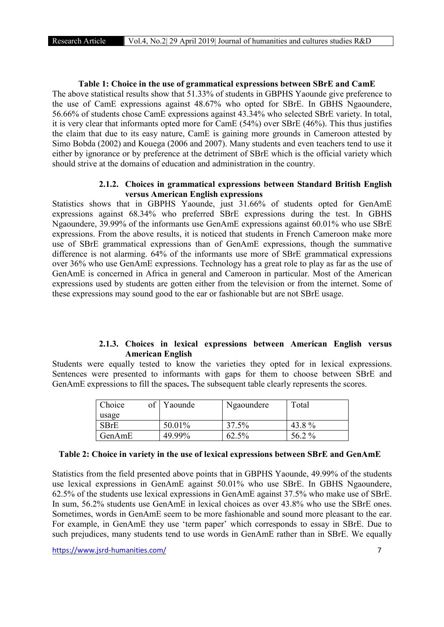# Table 1: Choice in the use of grammatical expressions between SBrE and CamE The above statistical results show that 51.33% of students in GBPHS Yaounde give preference to the use of CamE expressions against 48.67% who opted for SBrE. In GBHS Ngaoundere, 56.66% of students chose CamE expressions against 43.34% who selected SBrE variety. In total, it is very clear that informants opted more for CamE (54%) over SBrE (46%). This thus justifies the claim that due to its easy nature, CamE is gaining more grounds in Cameroon attested by Simo Bobda (2002) and Kouega (2006 and 2007). Many students and even teachers tend to use it either by ignorance or by preference at the detriment of SBrE which is the official variety which should strive at the domains of education and administration in the country.

## 2.1.2. Choices in grammatical expressions between Standard British English versus American English expressions

Statistics shows that in GBPHS Yaounde, just 31.66% of students opted for GenAmE expressions against 68.34% who preferred SBrE expressions during the test. In GBHS Ngaoundere, 39.99% of the informants use GenAmE expressions against 60.01% who use SBrE expressions. From the above results, it is noticed that students in French Cameroon make more use of SBrE grammatical expressions than of GenAmE expressions, though the summative difference is not alarming. 64% of the informants use more of SBrE grammatical expressions over 36% who use GenAmE expressions. Technology has a great role to play as far as the use of GenAmE is concerned in Africa in general and Cameroon in particular. Most of the American expressions used by students are gotten either from the television or from the internet. Some of these expressions may sound good to the ear or fashionable but are not SBrE usage.

# 2.1.3. Choices in lexical expressions between American English versus American English

Students were equally tested to know the varieties they opted for in lexical expressions. Sentences were presented to informants with gaps for them to choose between SBrE and GenAmE expressions to fill the spaces. The subsequent table clearly represents the scores.

| Choice | Yaounde | Ngaoundere | Total |
|--------|---------|------------|-------|
| usage  |         |            |       |
| SBrE   | 50.01%  | 37.5%      | 43.8% |
| GenAmE | 49.99%  | 62.5%      | 56.2% |

## Table 2: Choice in variety in the use of lexical expressions between SBrE and GenAmE

Statistics from the field presented above points that in GBPHS Yaounde, 49.99% of the students use lexical expressions in GenAmE against 50.01% who use SBrE. In GBHS Ngaoundere, 62.5% of the students use lexical expressions in GenAmE against 37.5% who make use of SBrE. In sum, 56.2% students use GenAmE in lexical choices as over 43.8% who use the SBrE ones. Sometimes, words in GenAmE seem to be more fashionable and sound more pleasant to the ear. For example, in GenAmE they use 'term paper' which corresponds to essay in SBrE. Due to such prejudices, many students tend to use words in GenAmE rather than in SBrE. We equally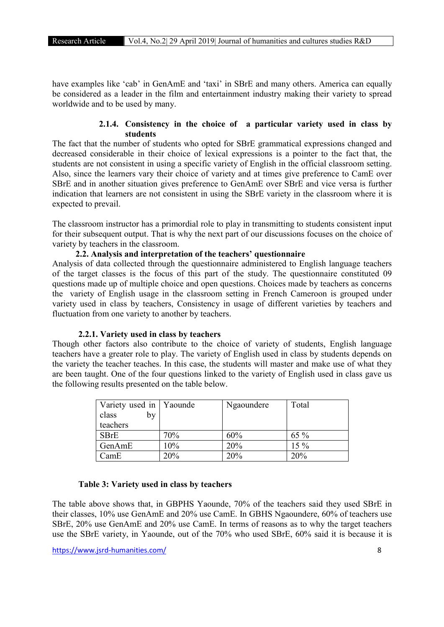have examples like 'cab' in GenAmE and 'taxi' in SBrE and many others. America can equally be considered as a leader in the film and entertainment industry making their variety to spread worldwide and to be used by many.

# 2.1.4. Consistency in the choice of a particular variety used in class by students

The fact that the number of students who opted for SBrE grammatical expressions changed and decreased considerable in their choice of lexical expressions is a pointer to the fact that, the students are not consistent in using a specific variety of English in the official classroom setting. Also, since the learners vary their choice of variety and at times give preference to CamE over SBrE and in another situation gives preference to GenAmE over SBrE and vice versa is further indication that learners are not consistent in using the SBrE variety in the classroom where it is expected to prevail.

The classroom instructor has a primordial role to play in transmitting to students consistent input for their subsequent output. That is why the next part of our discussions focuses on the choice of variety by teachers in the classroom.

# 2.2. Analysis and interpretation of the teachers' questionnaire

Analysis of data collected through the questionnaire administered to English language teachers of the target classes is the focus of this part of the study. The questionnaire constituted 09 questions made up of multiple choice and open questions. Choices made by teachers as concerns the variety of English usage in the classroom setting in French Cameroon is grouped under variety used in class by teachers, Consistency in usage of different varieties by teachers and fluctuation from one variety to another by teachers.

#### 2.2.1. Variety used in class by teachers

Though other factors also contribute to the choice of variety of students, English language teachers have a greater role to play. The variety of English used in class by students depends on the variety the teacher teaches. In this case, the students will master and make use of what they are been taught. One of the four questions linked to the variety of English used in class gave us the following results presented on the table below.

| Variety used in   Yaounde |     | Ngaoundere | Total |
|---------------------------|-----|------------|-------|
| class<br>by               |     |            |       |
| teachers                  |     |            |       |
| <b>SBrE</b>               | 70% | 60%        | 65 %  |
| GenAmE                    | 10% | 20%        | 15 %  |
| CamE                      | 20% | 20%        | 20%   |

# Table 3: Variety used in class by teachers

The table above shows that, in GBPHS Yaounde, 70% of the teachers said they used SBrE in their classes, 10% use GenAmE and 20% use CamE. In GBHS Ngaoundere, 60% of teachers use SBrE, 20% use GenAmE and 20% use CamE. In terms of reasons as to why the target teachers use the SBrE variety, in Yaounde, out of the 70% who used SBrE, 60% said it is because it is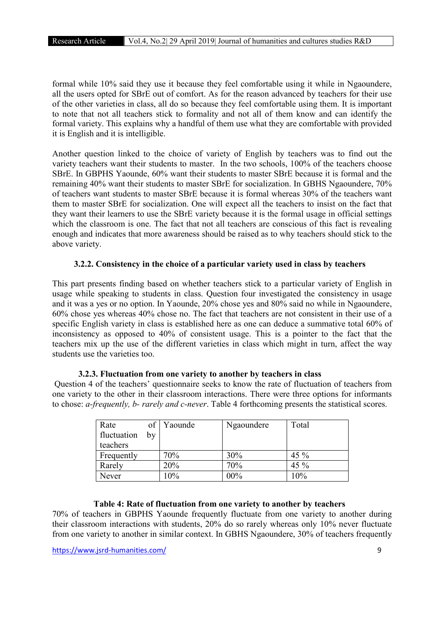formal while 10% said they use it because they feel comfortable using it while in Ngaoundere, all the users opted for SBrE out of comfort. As for the reason advanced by teachers for their use of the other varieties in class, all do so because they feel comfortable using them. It is important to note that not all teachers stick to formality and not all of them know and can identify the formal variety. This explains why a handful of them use what they are comfortable with provided it is English and it is intelligible.

Another question linked to the choice of variety of English by teachers was to find out the variety teachers want their students to master. In the two schools, 100% of the teachers choose SBrE. In GBPHS Yaounde, 60% want their students to master SBrE because it is formal and the remaining 40% want their students to master SBrE for socialization. In GBHS Ngaoundere, 70% of teachers want students to master SBrE because it is formal whereas 30% of the teachers want them to master SBrE for socialization. One will expect all the teachers to insist on the fact that they want their learners to use the SBrE variety because it is the formal usage in official settings which the classroom is one. The fact that not all teachers are conscious of this fact is revealing enough and indicates that more awareness should be raised as to why teachers should stick to the above variety.

# 3.2.2. Consistency in the choice of a particular variety used in class by teachers

This part presents finding based on whether teachers stick to a particular variety of English in usage while speaking to students in class. Question four investigated the consistency in usage and it was a yes or no option. In Yaounde, 20% chose yes and 80% said no while in Ngaoundere, 60% chose yes whereas 40% chose no. The fact that teachers are not consistent in their use of a specific English variety in class is established here as one can deduce a summative total 60% of inconsistency as opposed to 40% of consistent usage. This is a pointer to the fact that the teachers mix up the use of the different varieties in class which might in turn, affect the way students use the varieties too.

Question 4 of the teachers' questionnaire seeks to know the rate of fluctuation of teachers from one variety to the other in their classroom interactions. There were three options for informants to chose: *a-frequently, b- rarely and c-never*. Table 4 forthcoming presents the statistical scores.

| Rate<br>fluctuation<br>teachers | $\sigma$<br>bv | Yaounde | Ngaoundere | Total  |
|---------------------------------|----------------|---------|------------|--------|
| Frequently                      |                | 70%     | 30%        | 45 $%$ |
| Rarely                          |                | 20%     | 70%        | 45 %   |
| Never                           |                | 10%     | 00%        | 10%    |

#### 3.2.3. Fluctuation from one variety to another by teachers in class

## Table 4: Rate of fluctuation from one variety to another by teachers

70% of teachers in GBPHS Yaounde frequently fluctuate from one variety to another during their classroom interactions with students, 20% do so rarely whereas only 10% never fluctuate from one variety to another in similar context. In GBHS Ngaoundere, 30% of teachers frequently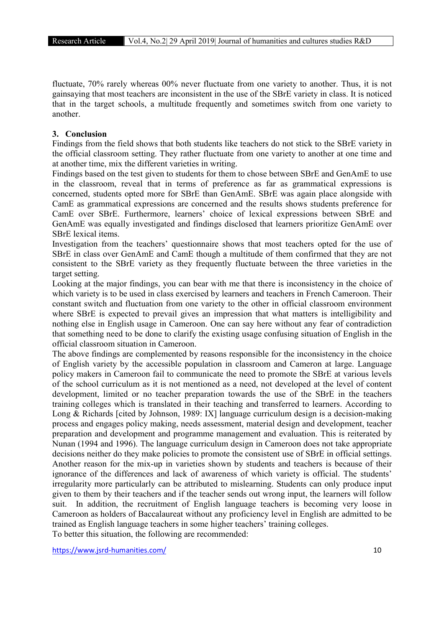fluctuate, 70% rarely whereas 00% never fluctuate from one variety to another. Thus, it is not gainsaying that most teachers are inconsistent in the use of the SBrE variety in class. It is noticed that in the target schools, a multitude frequently and sometimes switch from one variety to another.

# 3. Conclusion

Findings from the field shows that both students like teachers do not stick to the SBrE variety in the official classroom setting. They rather fluctuate from one variety to another at one time and at another time, mix the different varieties in writing.

Findings based on the test given to students for them to chose between SBrE and GenAmE to use in the classroom, reveal that in terms of preference as far as grammatical expressions is concerned, students opted more for SBrE than GenAmE. SBrE was again place alongside with CamE as grammatical expressions are concerned and the results shows students preference for CamE over SBrE. Furthermore, learners' choice of lexical expressions between SBrE and GenAmE was equally investigated and findings disclosed that learners prioritize GenAmE over SBrE lexical items.

Investigation from the teachers' questionnaire shows that most teachers opted for the use of SBrE in class over GenAmE and CamE though a multitude of them confirmed that they are not consistent to the SBrE variety as they frequently fluctuate between the three varieties in the target setting.

Looking at the major findings, you can bear with me that there is inconsistency in the choice of which variety is to be used in class exercised by learners and teachers in French Cameroon. Their constant switch and fluctuation from one variety to the other in official classroom environment where SBrE is expected to prevail gives an impression that what matters is intelligibility and nothing else in English usage in Cameroon. One can say here without any fear of contradiction that something need to be done to clarify the existing usage confusing situation of English in the official classroom situation in Cameroon.

The above findings are complemented by reasons responsible for the inconsistency in the choice of English variety by the accessible population in classroom and Cameron at large. Language policy makers in Cameroon fail to communicate the need to promote the SBrE at various levels of the school curriculum as it is not mentioned as a need, not developed at the level of content development, limited or no teacher preparation towards the use of the SBrE in the teachers training colleges which is translated in their teaching and transferred to learners. According to Long & Richards [cited by Johnson, 1989: IX] language curriculum design is a decision-making process and engages policy making, needs assessment, material design and development, teacher preparation and development and programme management and evaluation. This is reiterated by Nunan (1994 and 1996). The language curriculum design in Cameroon does not take appropriate decisions neither do they make policies to promote the consistent use of SBrE in official settings. Another reason for the mix-up in varieties shown by students and teachers is because of their ignorance of the differences and lack of awareness of which variety is official. The students' irregularity more particularly can be attributed to mislearning. Students can only produce input given to them by their teachers and if the teacher sends out wrong input, the learners will follow suit. In addition, the recruitment of English language teachers is becoming very loose in Cameroon as holders of Baccalaureat without any proficiency level in English are admitted to be trained as English language teachers in some higher teachers' training colleges. To better this situation, the following are recommended: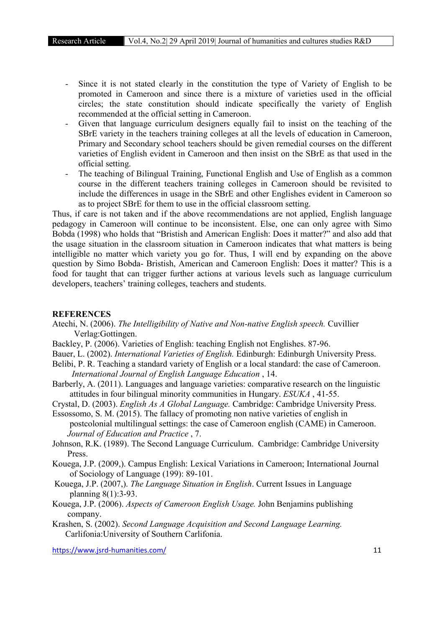- Since it is not stated clearly in the constitution the type of Variety of English to be promoted in Cameroon and since there is a mixture of varieties used in the official circles; the state constitution should indicate specifically the variety of English recommended at the official setting in Cameroon.
- Given that language curriculum designers equally fail to insist on the teaching of the SBrE variety in the teachers training colleges at all the levels of education in Cameroon, Primary and Secondary school teachers should be given remedial courses on the different varieties of English evident in Cameroon and then insist on the SBrE as that used in the official setting.
- The teaching of Bilingual Training, Functional English and Use of English as a common course in the different teachers training colleges in Cameroon should be revisited to include the differences in usage in the SBrE and other Englishes evident in Cameroon so as to project SBrE for them to use in the official classroom setting.

Thus, if care is not taken and if the above recommendations are not applied, English language pedagogy in Cameroon will continue to be inconsistent. Else, one can only agree with Simo Bobda (1998) who holds that "Bristish and American English: Does it matter?" and also add that the usage situation in the classroom situation in Cameroon indicates that what matters is being intelligible no matter which variety you go for. Thus, I will end by expanding on the above question by Simo Bobda- Bristish, American and Cameroon English: Does it matter? This is a food for taught that can trigger further actions at various levels such as language curriculum developers, teachers' training colleges, teachers and students.

#### **REFERENCES**

- Atechi, N. (2006). *The Intelligibility of Native and Non-native English speech.* Cuvillier Verlag:Gottingen.
- Backley, P. (2006). Varieties of English: teaching English not Englishes. 87-96.
- Bauer, L. (2002). *International Varieties of English.* Edinburgh: Edinburgh University Press.
- Belibi, P. R. Teaching a standard variety of English or a local standard: the case of Cameroon. *International Journal of English Language Education* , 14.
- Barberly, A. (2011). Languages and language varieties: comparative research on the linguistic attitudes in four bilingual minority communities in Hungary. *ESUKA* , 41-55.
- Crystal, D. (2003). *English As A Global Language.* Cambridge: Cambridge University Press.

Essossomo, S. M. (2015). The fallacy of promoting non native varieties of english in postcolonial multilingual settings: the case of Cameroon english (CAME) in Cameroon. *Journal of Education and Practice* , 7.

- Johnson, R.K. (1989). The Second Language Curriculum. Cambridge: Cambridge University Press.
- Kouega, J.P. (2009,). Campus English: Lexical Variations in Cameroon; International Journal of Sociology of Language (199): 89-101.
- Kouega, J.P. (2007,). *The Language Situation in English*. Current Issues in Language planning 8(1):3-93.
- Kouega, J.P. (2006). *Aspects of Cameroon English Usage.* John Benjamins publishing company.
- Krashen, S. (2002). *Second Language Acquisition and Second Language Learning.* Carlifonia:University of Southern Carlifonia.